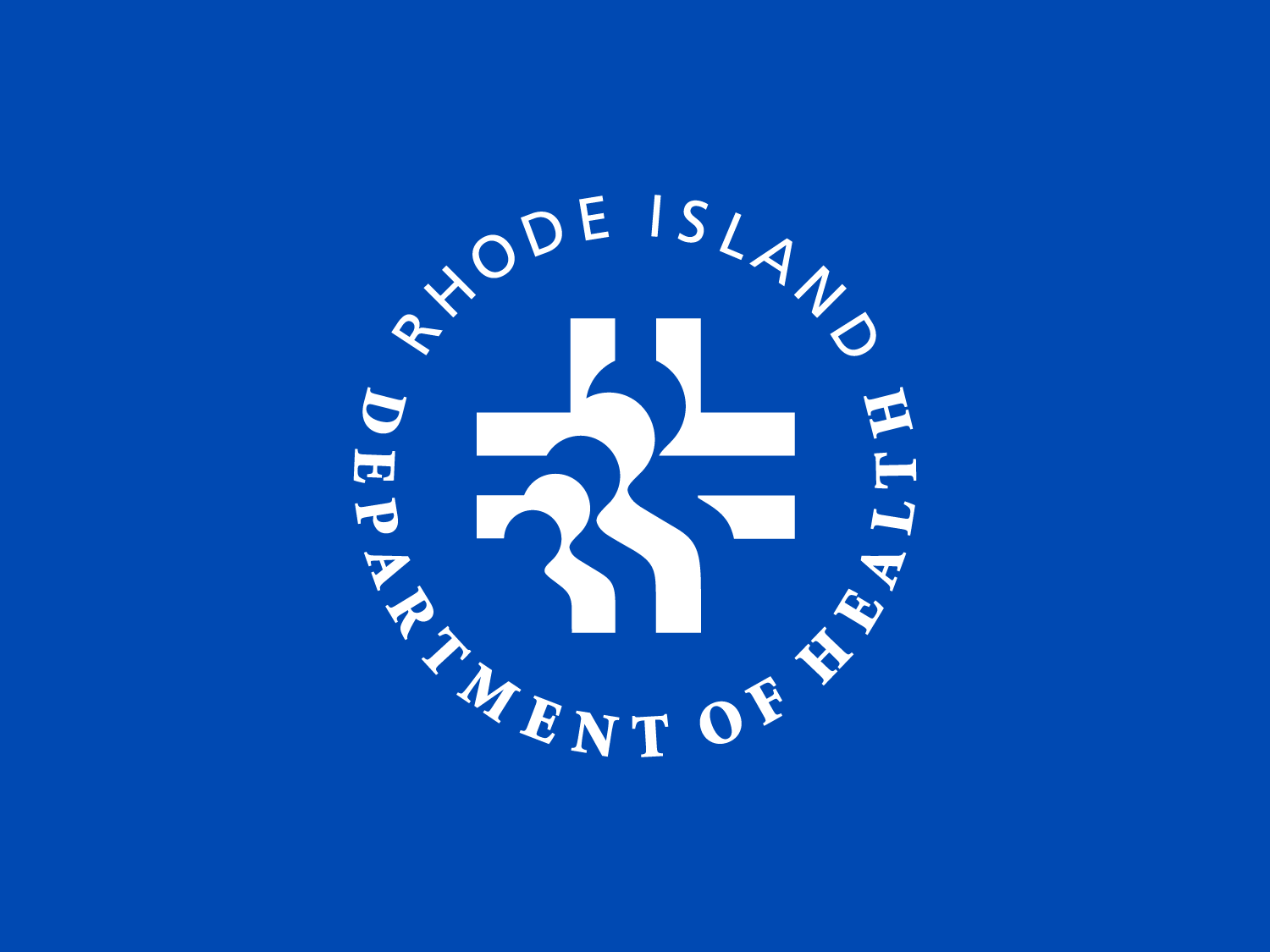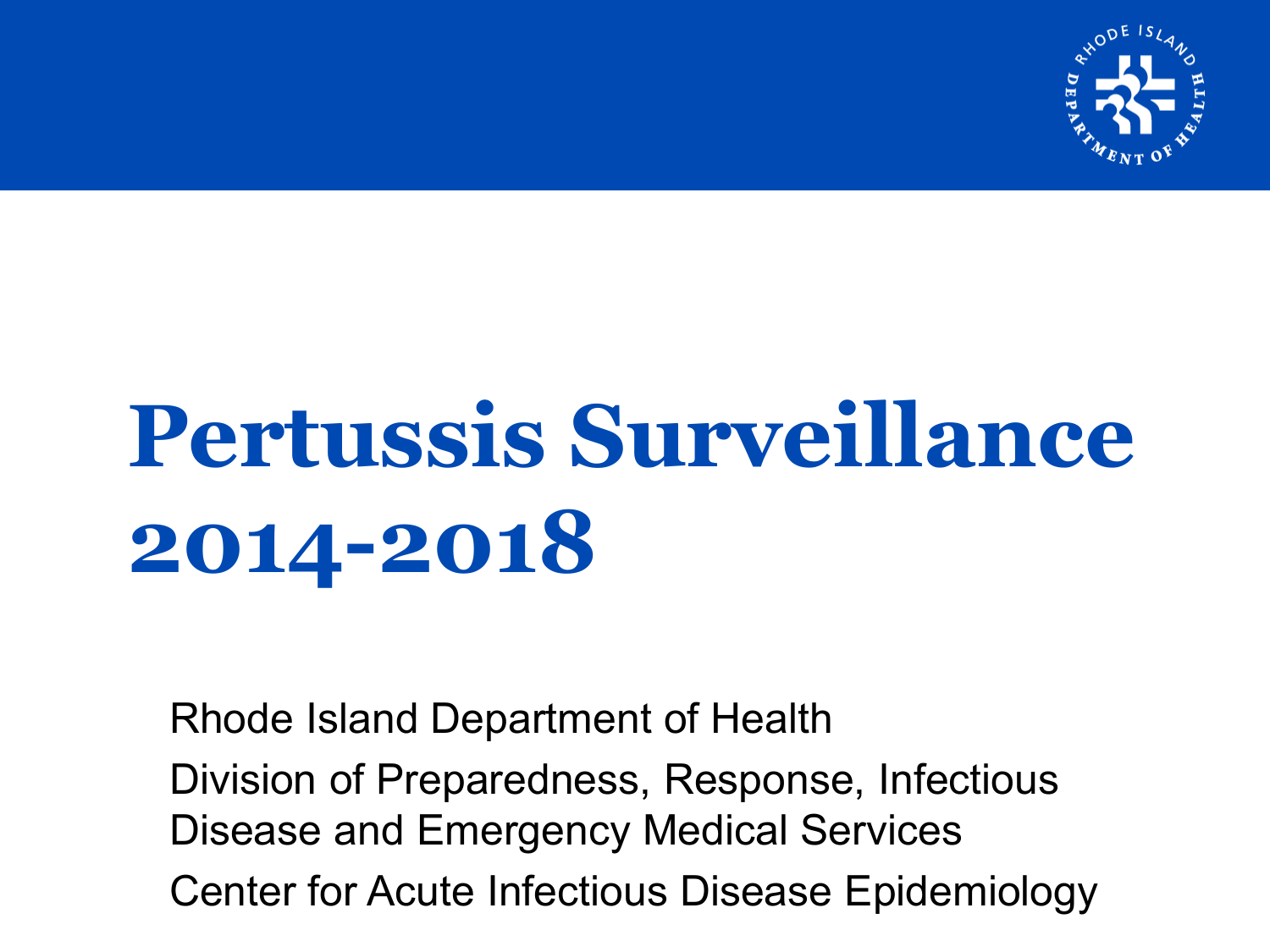

# **Pertussis Surveillance 2014-2018**

Rhode Island Department of Health Division of Preparedness, Response, Infectious Disease and Emergency Medical Services Center for Acute Infectious Disease Epidemiology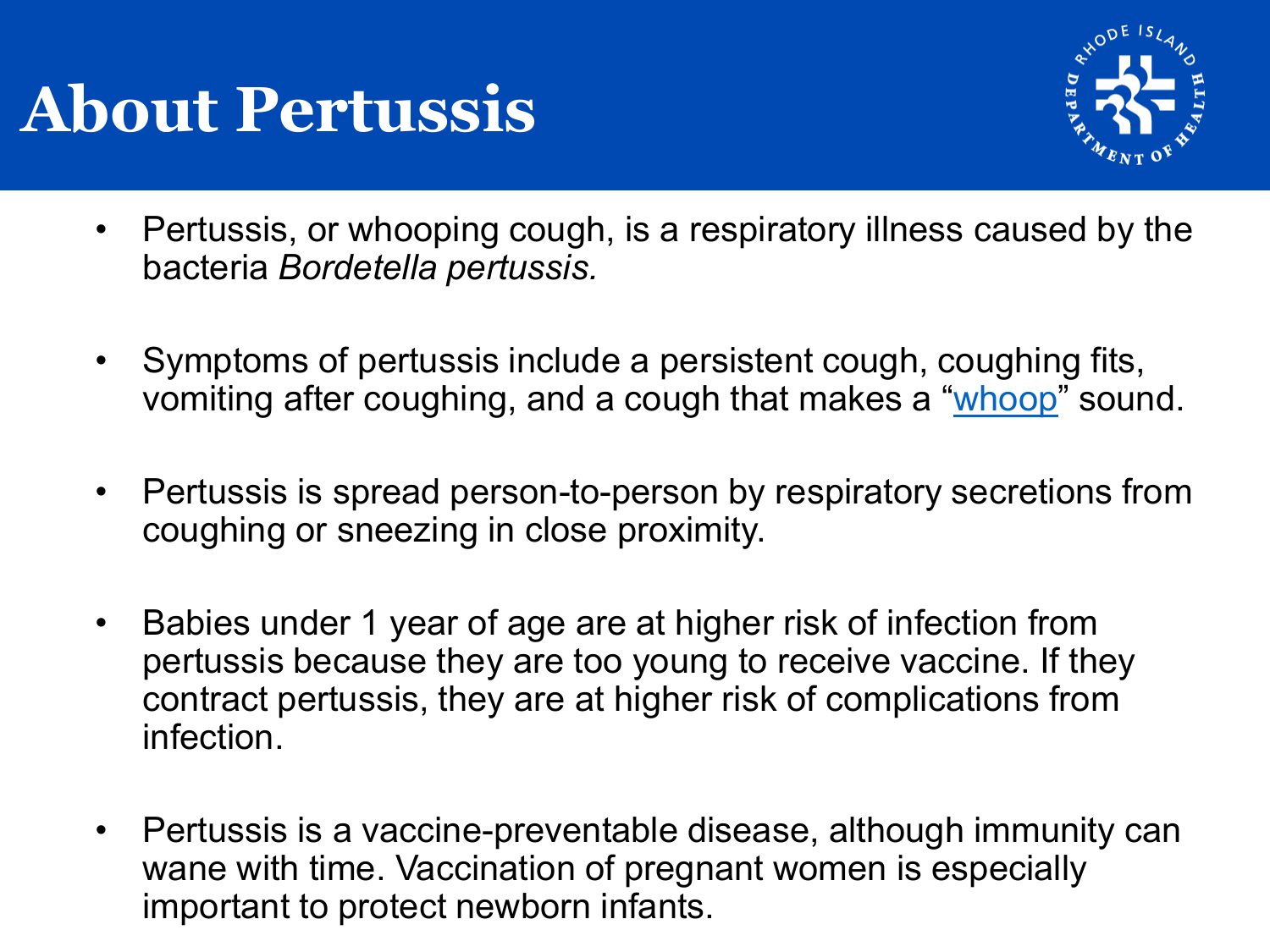# **About Pertussis**



- Pertussis, or whooping cough, is a respiratory illness caused by the bacteria *Bordetella pertussis.*
- Symptoms of pertussis include a persistent cough, coughing fits, vomiting after coughing, and a cough that makes a "[whoop"](http://www.pkids.org/diseases/pertussis.html) sound.
- Pertussis is spread person-to-person by respiratory secretions from coughing or sneezing in close proximity.
- Babies under 1 year of age are at higher risk of infection from pertussis because they are too young to receive vaccine. If they contract pertussis, they are at higher risk of complications from infection.
- Pertussis is a vaccine-preventable disease, although immunity can wane with time. Vaccination of pregnant women is especially important to protect newborn infants.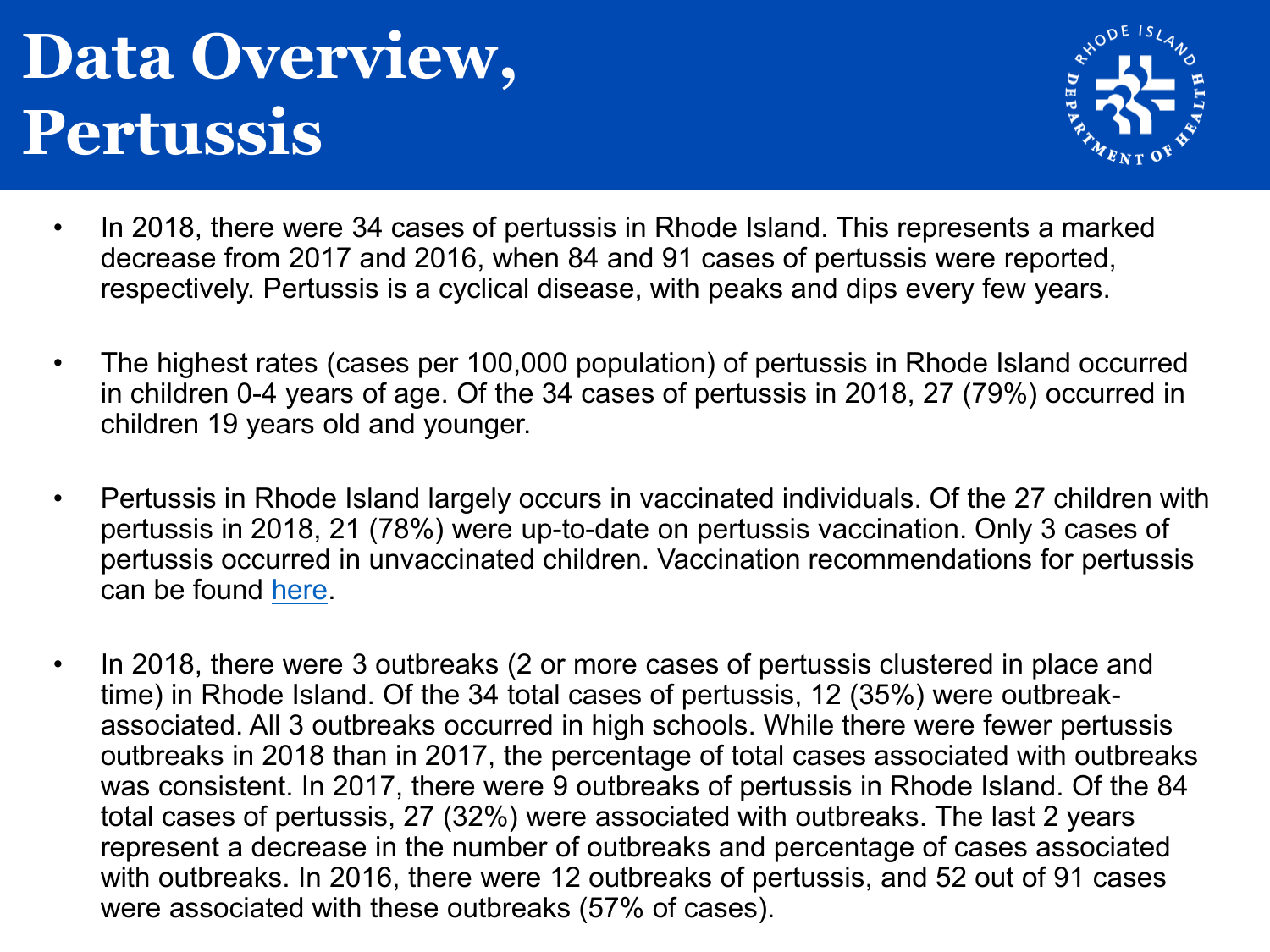# **Data Overview, Pertussis**



- In 2018, there were 34 cases of pertussis in Rhode Island. This represents a marked decrease from 2017 and 2016, when 84 and 91 cases of pertussis were reported, respectively. Pertussis is a cyclical disease, with peaks and dips every few years.
- The highest rates (cases per 100,000 population) of pertussis in Rhode Island occurred in children 0-4 years of age. Of the 34 cases of pertussis in 2018, 27 (79%) occurred in children 19 years old and younger.
- Pertussis in Rhode Island largely occurs in vaccinated individuals. Of the 27 children with pertussis in 2018, 21 (78%) were up-to-date on pertussis vaccination. Only 3 cases of pertussis occurred in unvaccinated children. Vaccination recommendations for pertussis can be found [here.](https://www.cdc.gov/vaccines/schedules/hcp/imz/child-adolescent.html)
- In 2018, there were 3 outbreaks (2 or more cases of pertussis clustered in place and time) in Rhode Island. Of the 34 total cases of pertussis, 12 (35%) were outbreakassociated. All 3 outbreaks occurred in high schools. While there were fewer pertussis outbreaks in 2018 than in 2017, the percentage of total cases associated with outbreaks was consistent. In 2017, there were 9 outbreaks of pertussis in Rhode Island. Of the 84 total cases of pertussis, 27 (32%) were associated with outbreaks. The last 2 years represent a decrease in the number of outbreaks and percentage of cases associated with outbreaks. In 2016, there were 12 outbreaks of pertussis, and 52 out of 91 cases were associated with these outbreaks (57% of cases).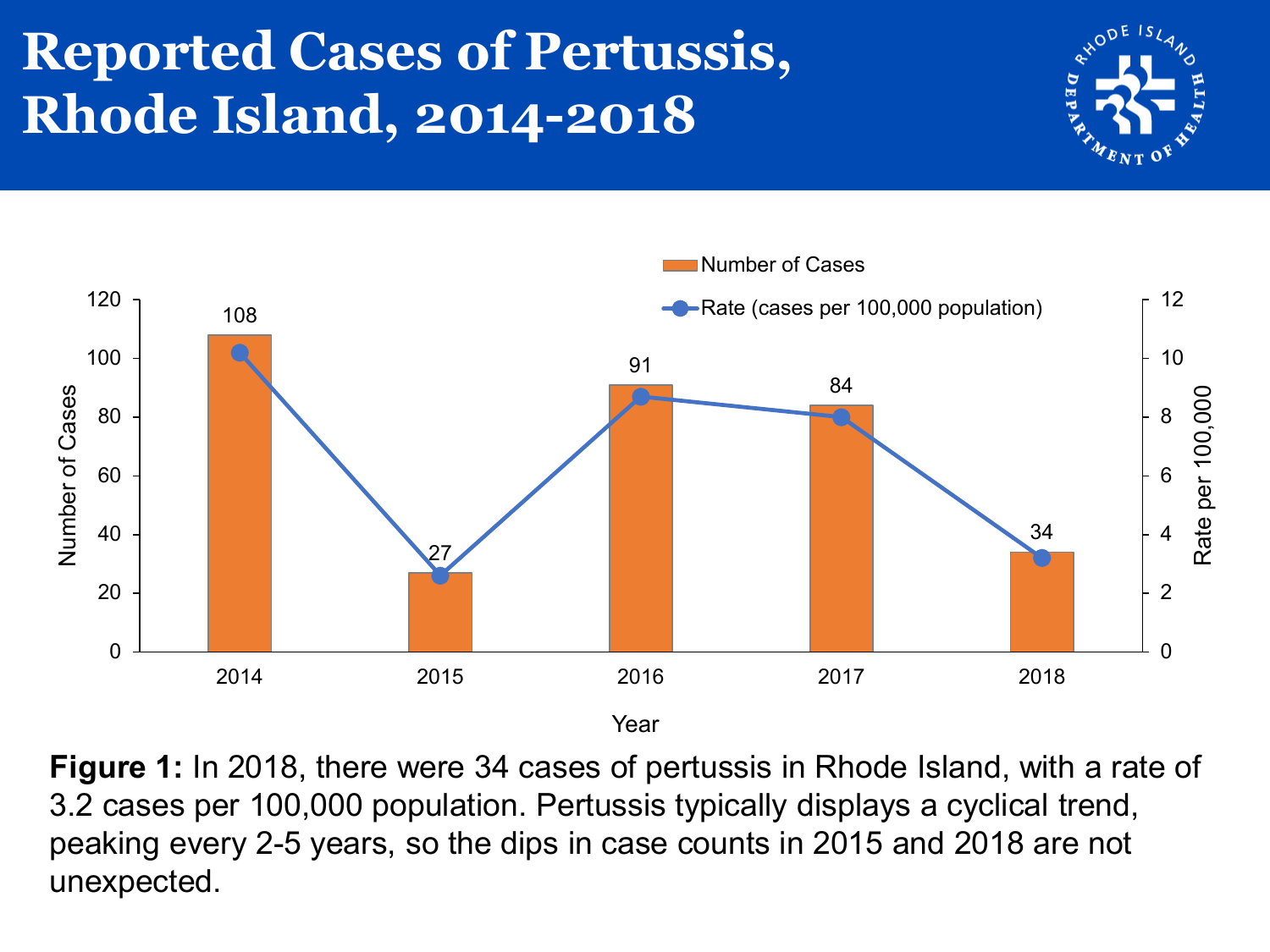# **Reported Cases of Pertussis, Rhode Island, 2014-2018**





**Figure 1:** In 2018, there were 34 cases of pertussis in Rhode Island, with a rate of 3.2 cases per 100,000 population. Pertussis typically displays a cyclical trend, peaking every 2-5 years, so the dips in case counts in 2015 and 2018 are not unexpected.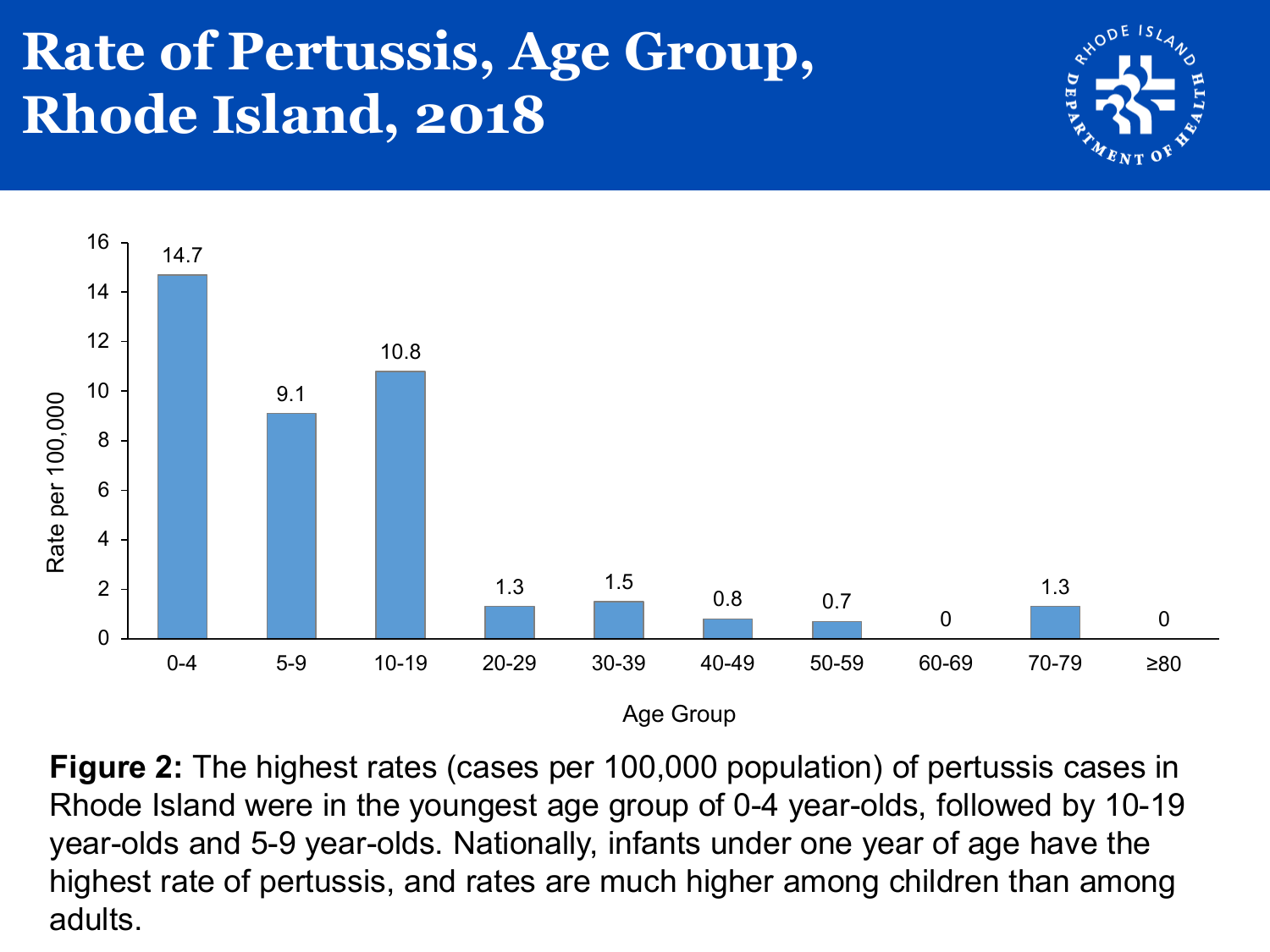### **Rate of Pertussis, Age Group, Rhode Island, 2018**





**Figure 2:** The highest rates (cases per 100,000 population) of pertussis cases in Rhode Island were in the youngest age group of 0-4 year-olds, followed by 10-19 year-olds and 5-9 year-olds. Nationally, infants under one year of age have the highest rate of pertussis, and rates are much higher among children than among adults.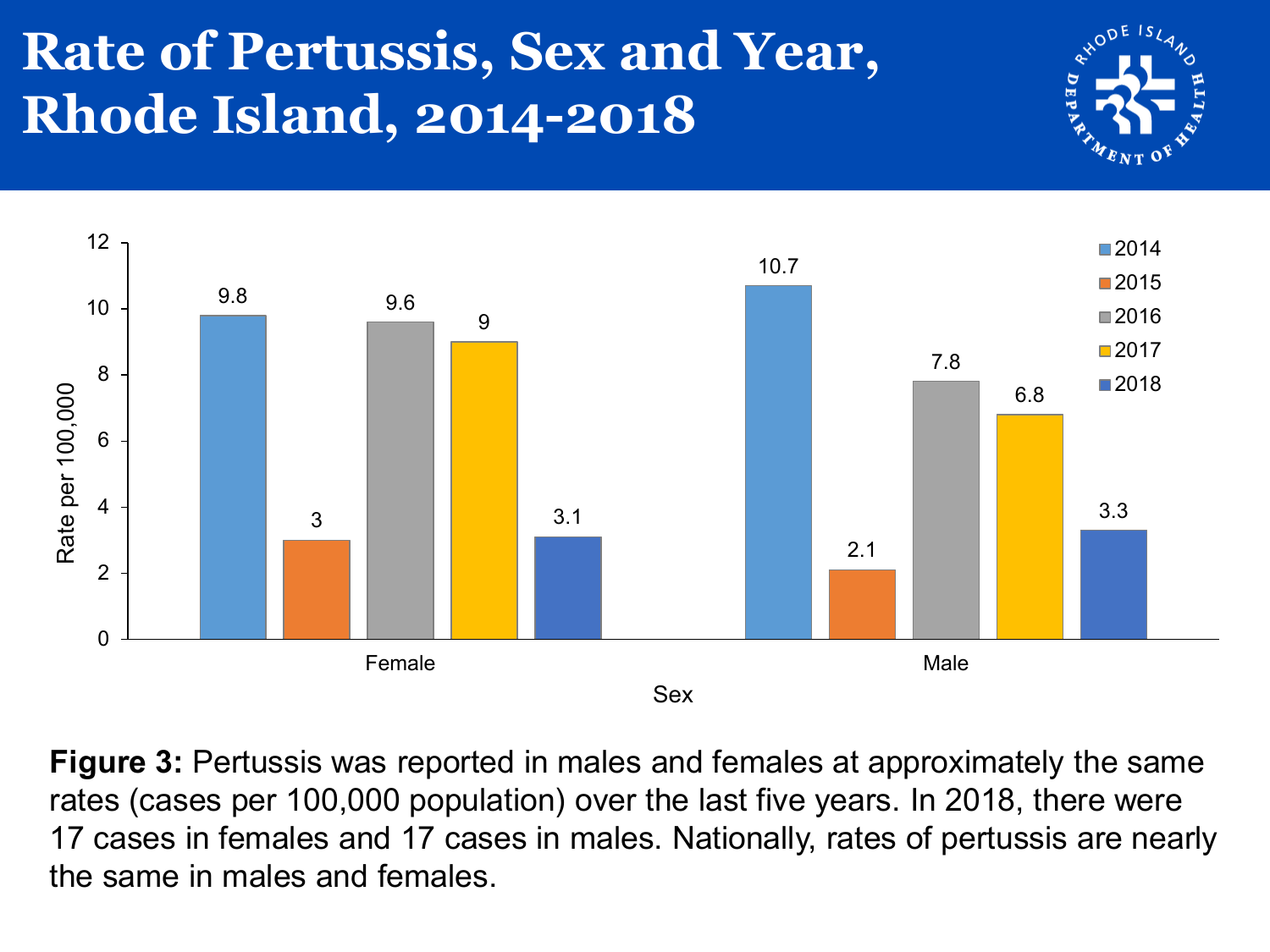# **Rate of Pertussis, Sex and Year, Rhode Island, 2014-2018**





**Figure 3:** Pertussis was reported in males and females at approximately the same rates (cases per 100,000 population) over the last five years. In 2018, there were 17 cases in females and 17 cases in males. Nationally, rates of pertussis are nearly the same in males and females.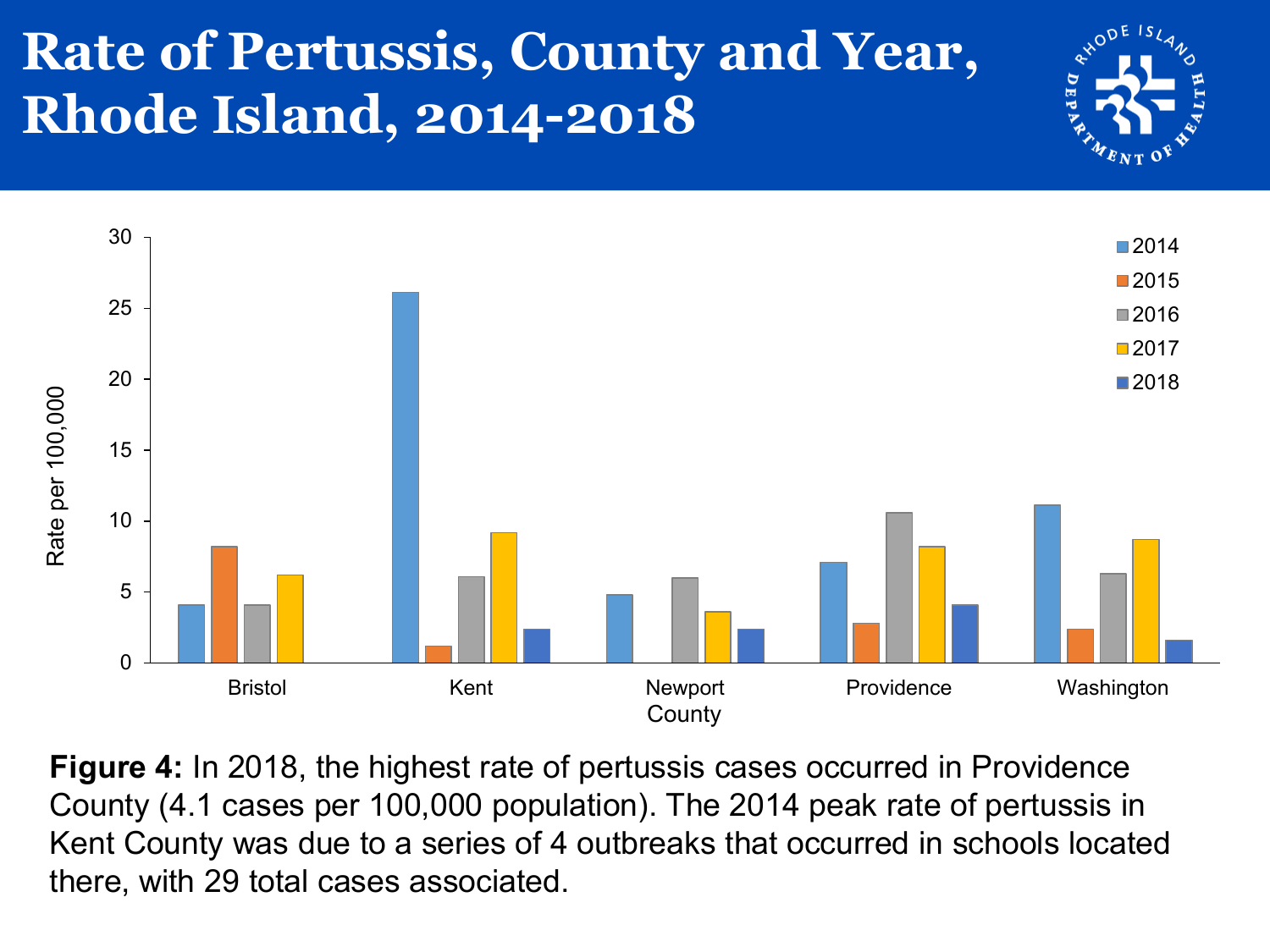# **Rate of Pertussis, County and Year, Rhode Island, 2014-2018**





**Figure 4:** In 2018, the highest rate of pertussis cases occurred in Providence County (4.1 cases per 100,000 population). The 2014 peak rate of pertussis in Kent County was due to a series of 4 outbreaks that occurred in schools located there, with 29 total cases associated.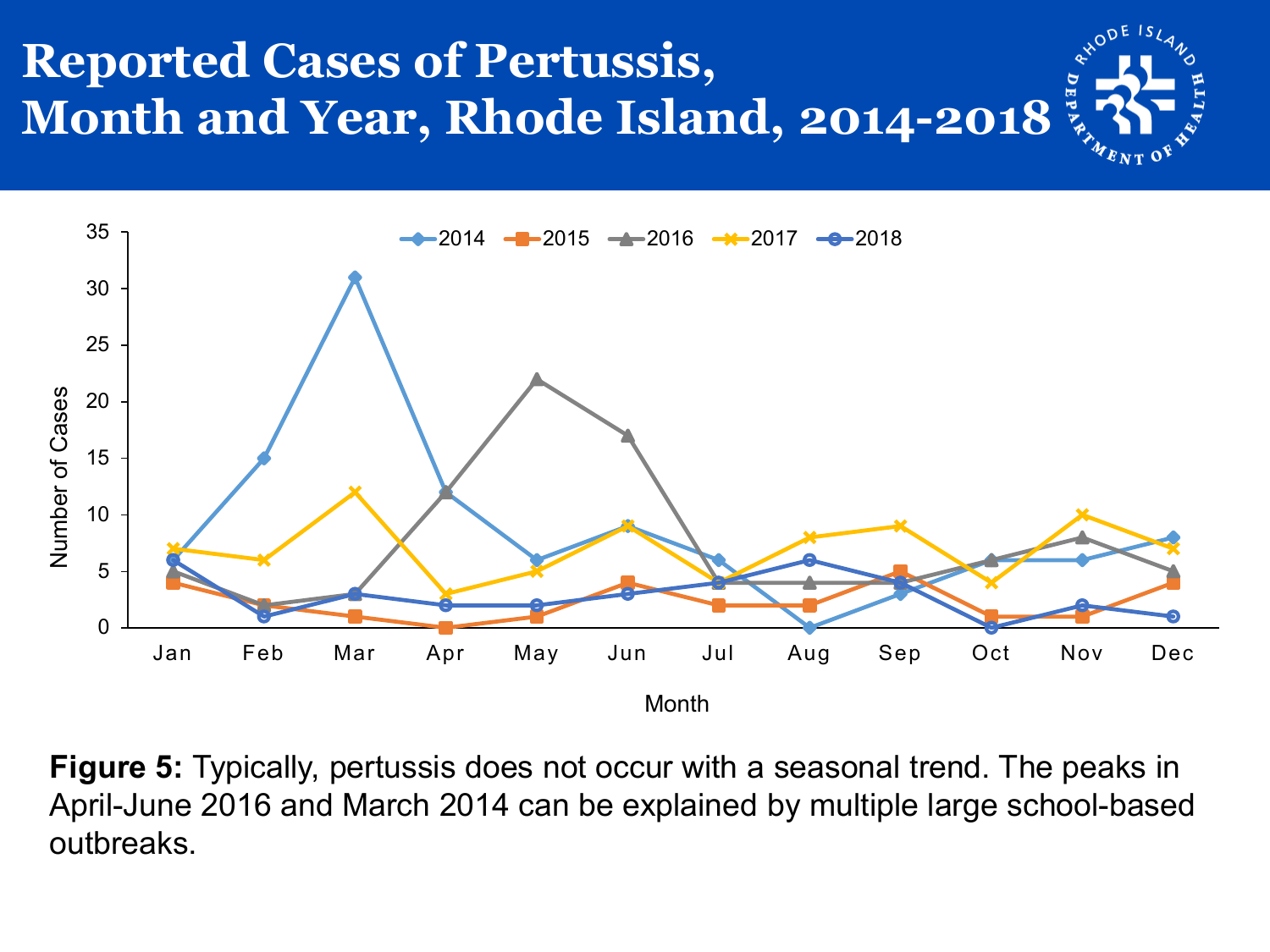



**Figure 5:** Typically, pertussis does not occur with a seasonal trend. The peaks in April-June 2016 and March 2014 can be explained by multiple large school-based outbreaks.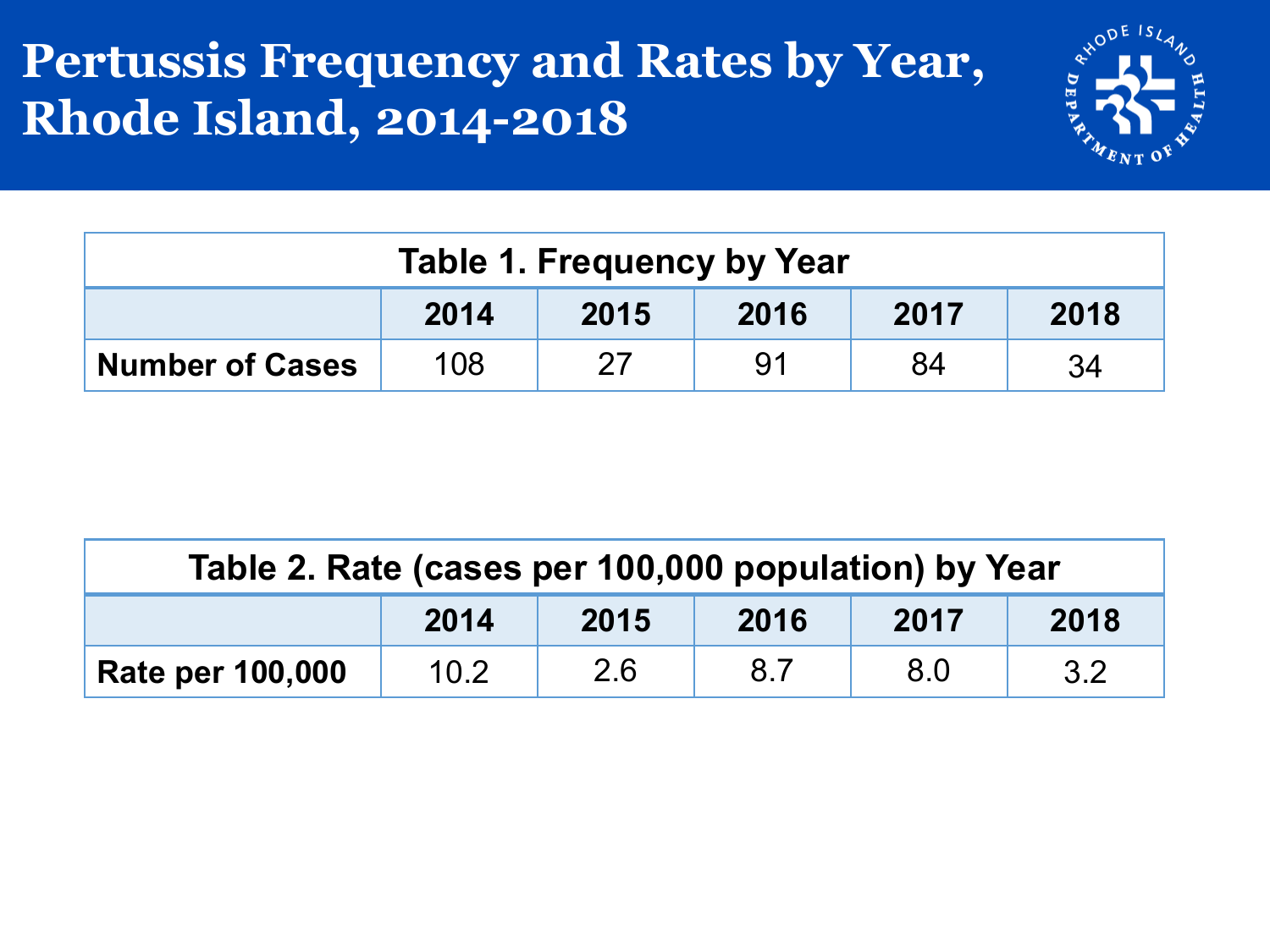#### **Pertussis Frequency and Rates by Year, Rhode Island, 2014-2018**



| Table 1. Frequency by Year           |     |    |    |    |    |  |  |
|--------------------------------------|-----|----|----|----|----|--|--|
| 2018<br>2016<br>2014<br>2015<br>2017 |     |    |    |    |    |  |  |
| <b>Number of Cases</b>               | 108 | 27 | 91 | 84 | 34 |  |  |

| Table 2. Rate (cases per 100,000 population) by Year |      |     |     |     |     |  |  |
|------------------------------------------------------|------|-----|-----|-----|-----|--|--|
| 2014<br>2015<br>2016<br>2018<br>2017                 |      |     |     |     |     |  |  |
| <b>Rate per 100,000</b>                              | 10.2 | 2.6 | 8.7 | 8.0 | 3.2 |  |  |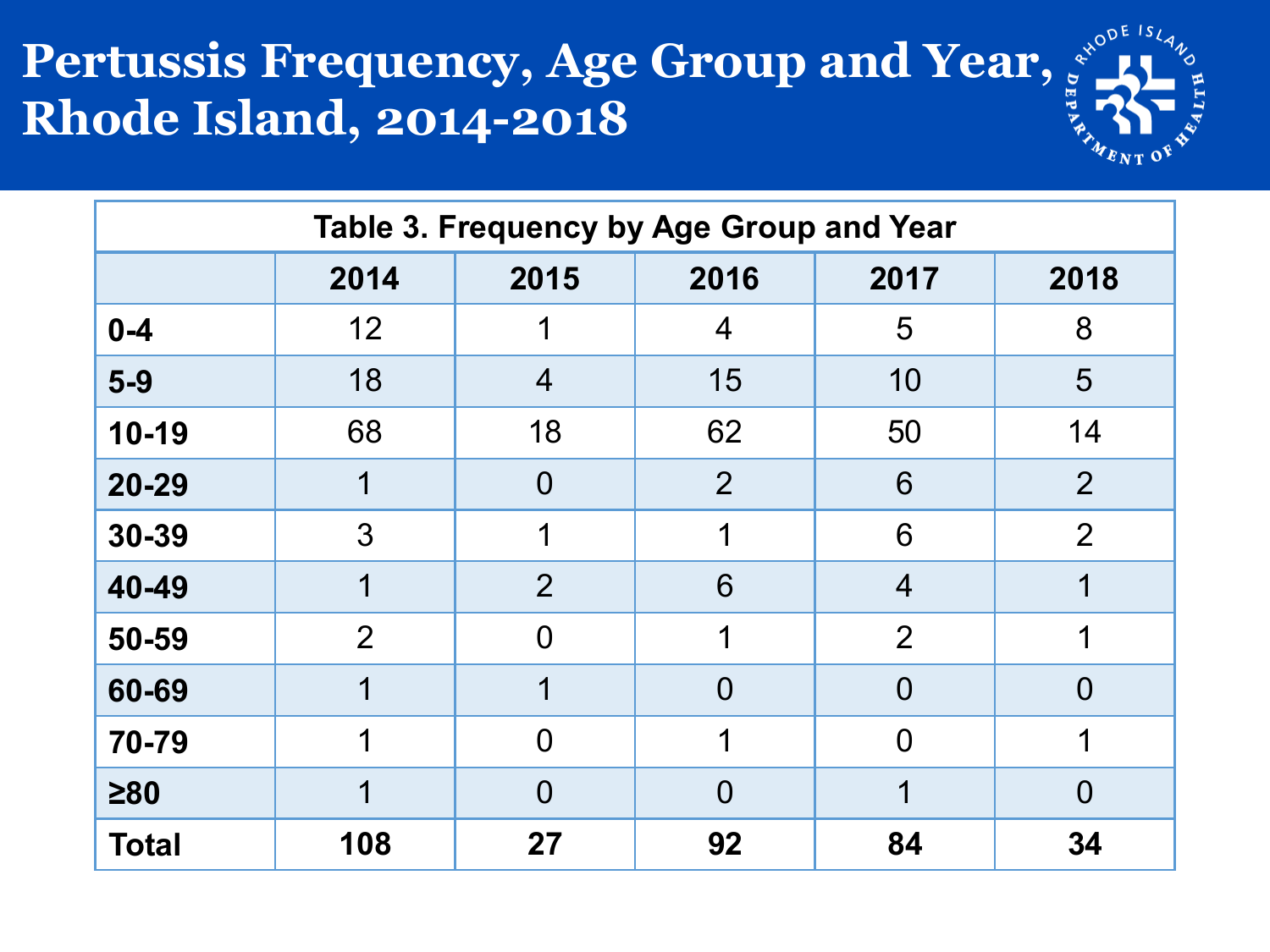# Pertussis Frequency, Age Group and Year,  $\frac{1}{2}$  Rhode Island, 2014-2018 **Rhode Island, 2014-2018**



| Table 3. Frequency by Age Group and Year |                                      |                |                |                |                |  |  |  |
|------------------------------------------|--------------------------------------|----------------|----------------|----------------|----------------|--|--|--|
|                                          | 2014<br>2016<br>2015<br>2017<br>2018 |                |                |                |                |  |  |  |
| $0 - 4$                                  | 12                                   |                | $\overline{4}$ | 5              | 8              |  |  |  |
| $5-9$                                    | 18                                   | $\overline{4}$ | 15             | 10             | 5              |  |  |  |
| $10 - 19$                                | 68                                   | 18             | 62             | 50             | 14             |  |  |  |
| 20-29                                    |                                      | $\overline{0}$ | $\overline{2}$ | 6              | $\overline{2}$ |  |  |  |
| 30-39                                    | 3                                    | 1              | 1              | 6              | $\overline{2}$ |  |  |  |
| 40-49                                    | 1                                    | 2              | 6              | $\overline{4}$ |                |  |  |  |
| 50-59                                    | $\overline{2}$                       | $\overline{0}$ | 1              | $\overline{2}$ | 1              |  |  |  |
| 60-69                                    | 1                                    | 1              | $\overline{0}$ | $\overline{0}$ | $\Omega$       |  |  |  |
| 70-79                                    | 1                                    | $\overline{0}$ | 1              | $\overline{0}$ |                |  |  |  |
| $\geq 80$                                | 1                                    | $\Omega$       | $\overline{0}$ | 1              | $\overline{0}$ |  |  |  |
| <b>Total</b>                             | 108                                  | 27             | 92             | 84             | 34             |  |  |  |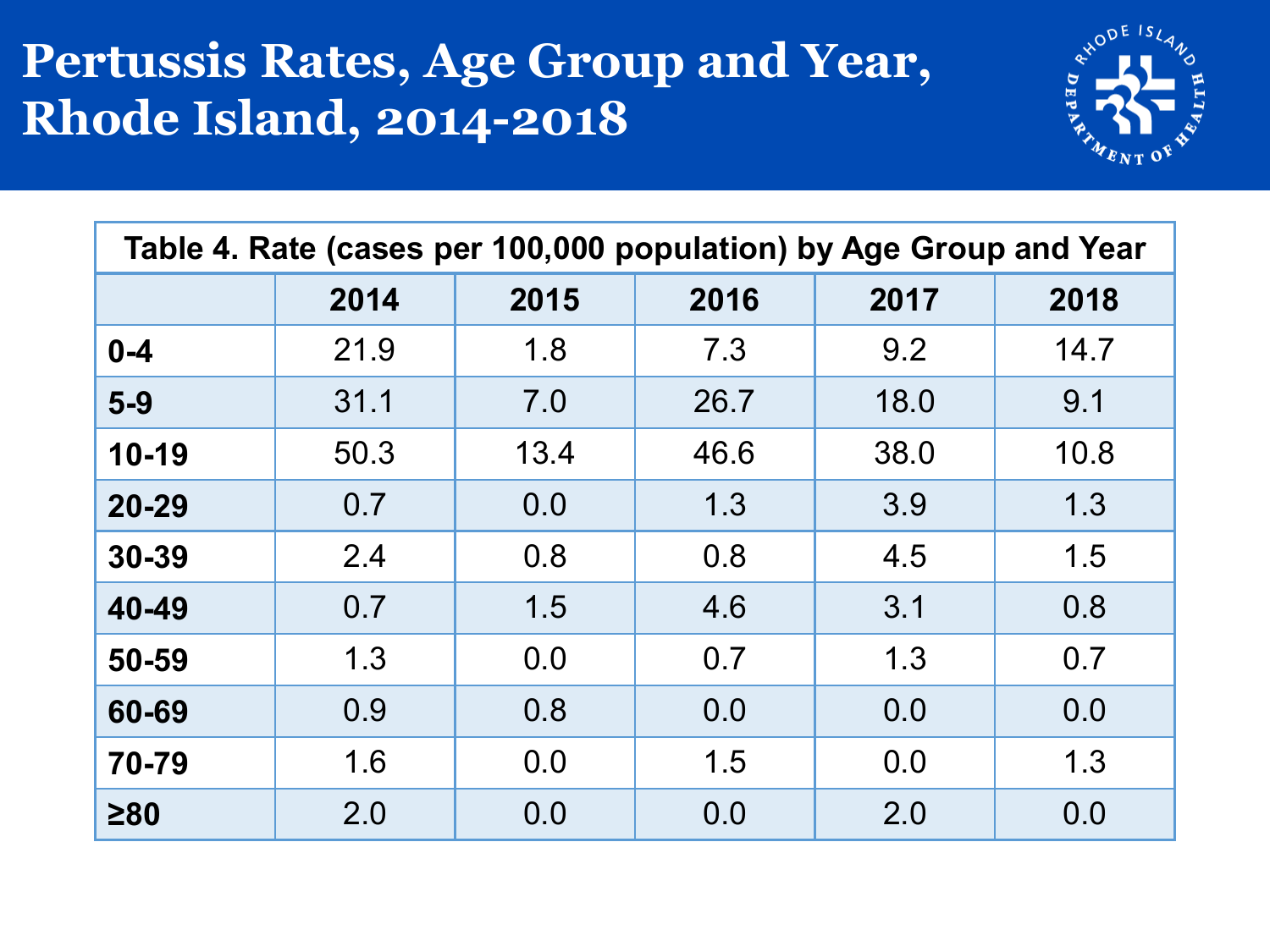#### **Pertussis Rates, Age Group and Year, Rhode Island, 2014-2018**



| Table 4. Rate (cases per 100,000 population) by Age Group and Year |      |      |      |      |      |  |  |
|--------------------------------------------------------------------|------|------|------|------|------|--|--|
|                                                                    | 2014 | 2015 | 2016 | 2017 | 2018 |  |  |
| $0 - 4$                                                            | 21.9 | 1.8  | 7.3  | 9.2  | 14.7 |  |  |
| $5-9$                                                              | 31.1 | 7.0  | 26.7 | 18.0 | 9.1  |  |  |
| $10-19$                                                            | 50.3 | 13.4 | 46.6 | 38.0 | 10.8 |  |  |
| $20 - 29$                                                          | 0.7  | 0.0  | 1.3  | 3.9  | 1.3  |  |  |
| 30-39                                                              | 2.4  | 0.8  | 0.8  | 4.5  | 1.5  |  |  |
| 40-49                                                              | 0.7  | 1.5  | 4.6  | 3.1  | 0.8  |  |  |
| 50-59                                                              | 1.3  | 0.0  | 0.7  | 1.3  | 0.7  |  |  |
| 60-69                                                              | 0.9  | 0.8  | 0.0  | 0.0  | 0.0  |  |  |
| 70-79                                                              | 1.6  | 0.0  | 1.5  | 0.0  | 1.3  |  |  |
| $\geq 80$                                                          | 2.0  | 0.0  | 0.0  | 2.0  | 0.0  |  |  |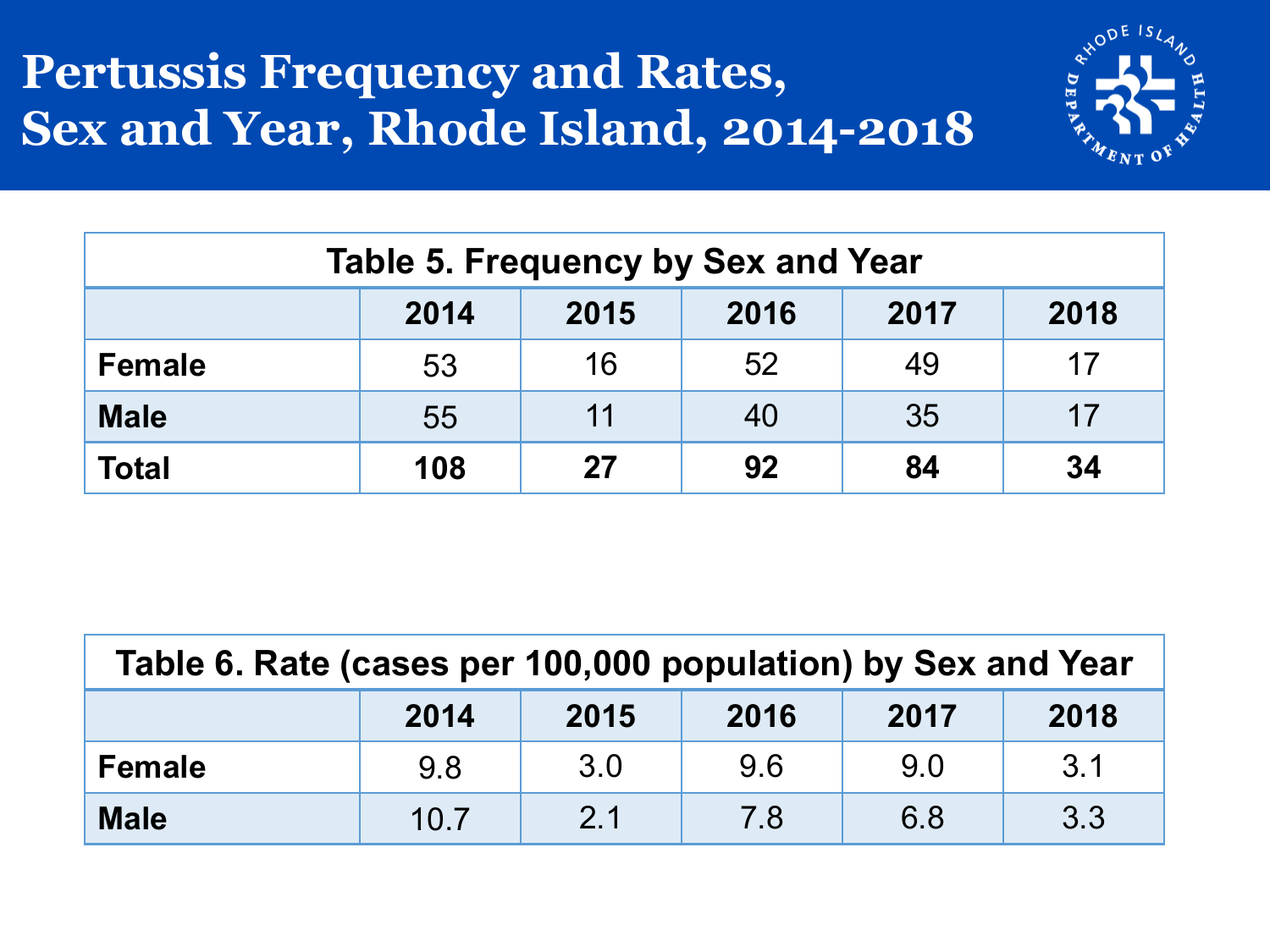#### **Pertussis Frequency and Rates, Sex and Year, Rhode Island, 2014-2018**



| <b>Table 5. Frequency by Sex and Year</b> |     |    |    |          |    |  |  |  |  |  |  |  |
|-------------------------------------------|-----|----|----|----------|----|--|--|--|--|--|--|--|
| 2017<br>2018<br>2014<br>2015<br>2016      |     |    |    |          |    |  |  |  |  |  |  |  |
| <b>Female</b>                             | 53  | 16 | 52 | 49       | 17 |  |  |  |  |  |  |  |
| <b>Male</b>                               | 55  | 11 | 40 | 35       | 17 |  |  |  |  |  |  |  |
| <b>Total</b>                              | 108 | 27 | 92 | 34<br>84 |    |  |  |  |  |  |  |  |

| Table 6. Rate (cases per 100,000 population) by Sex and Year |     |     |     |     |     |  |  |
|--------------------------------------------------------------|-----|-----|-----|-----|-----|--|--|
| 2018<br>2017<br>2015<br>2014<br>2016                         |     |     |     |     |     |  |  |
| <b>Female</b>                                                | 9.8 | 3.0 | 9.6 | 9.0 | 3.1 |  |  |
| 3.3<br>6.8<br>2.1<br>7.8<br><b>Male</b><br>10.7              |     |     |     |     |     |  |  |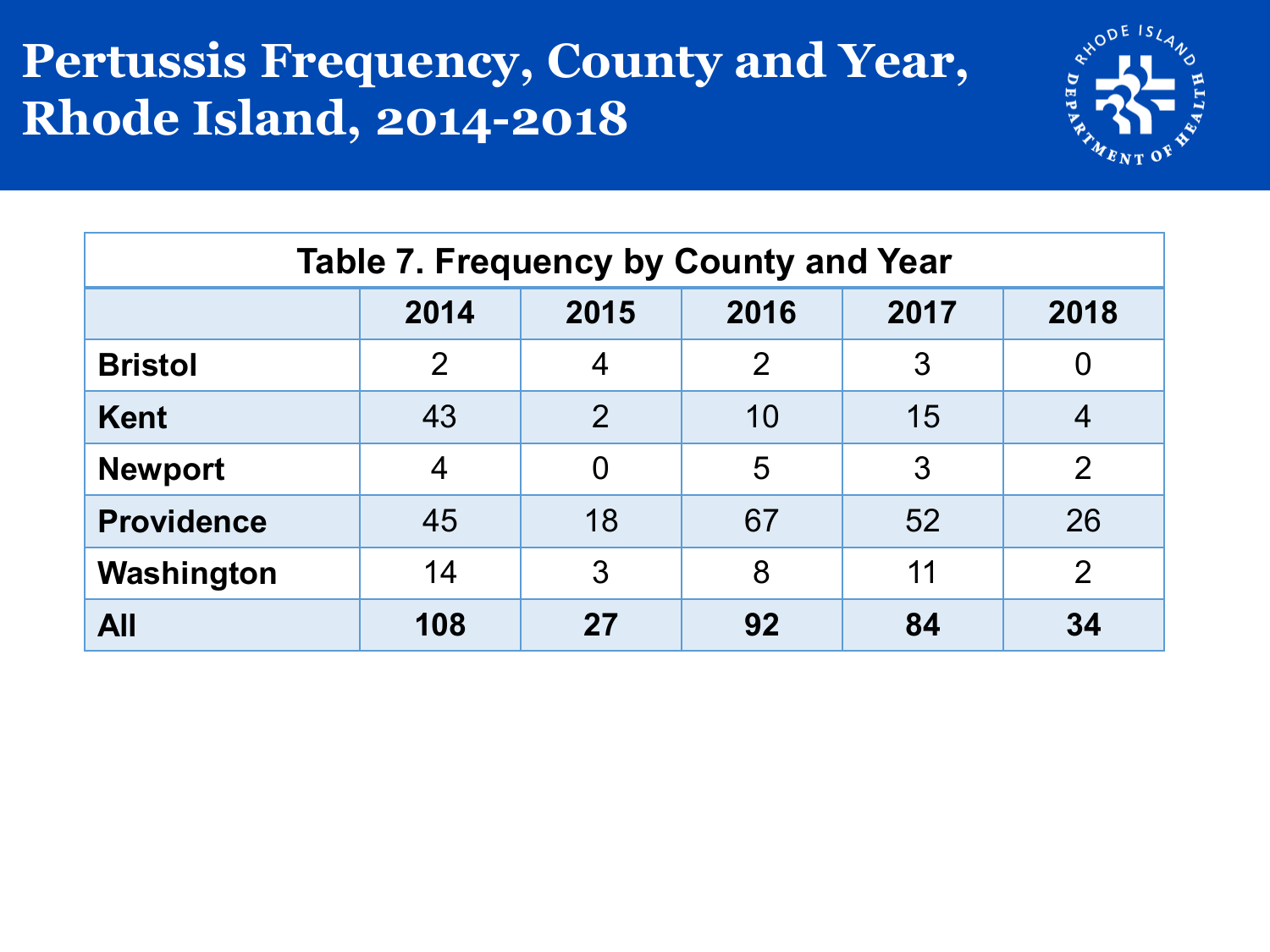#### **Pertussis Frequency, County and Year, Rhode Island, 2014-2018**



| <b>Table 7. Frequency by County and Year</b> |                |                |                |    |               |  |  |  |  |
|----------------------------------------------|----------------|----------------|----------------|----|---------------|--|--|--|--|
| 2016<br>2014<br>2017<br>2018<br>2015         |                |                |                |    |               |  |  |  |  |
| <b>Bristol</b>                               | $\overline{2}$ | 4              | $\overline{2}$ | 3  |               |  |  |  |  |
| <b>Kent</b>                                  | 43             | $\overline{2}$ | 10             | 15 |               |  |  |  |  |
| <b>Newport</b>                               | 4              | 0              | 5              | 3  | $\mathcal{P}$ |  |  |  |  |
| 67<br>52<br>18<br><b>Providence</b><br>45    |                |                |                |    | 26            |  |  |  |  |
| 11<br>Washington<br>14<br>3<br>8<br>2        |                |                |                |    |               |  |  |  |  |
| <b>All</b>                                   | 108            | 27             | 92             | 84 | 34            |  |  |  |  |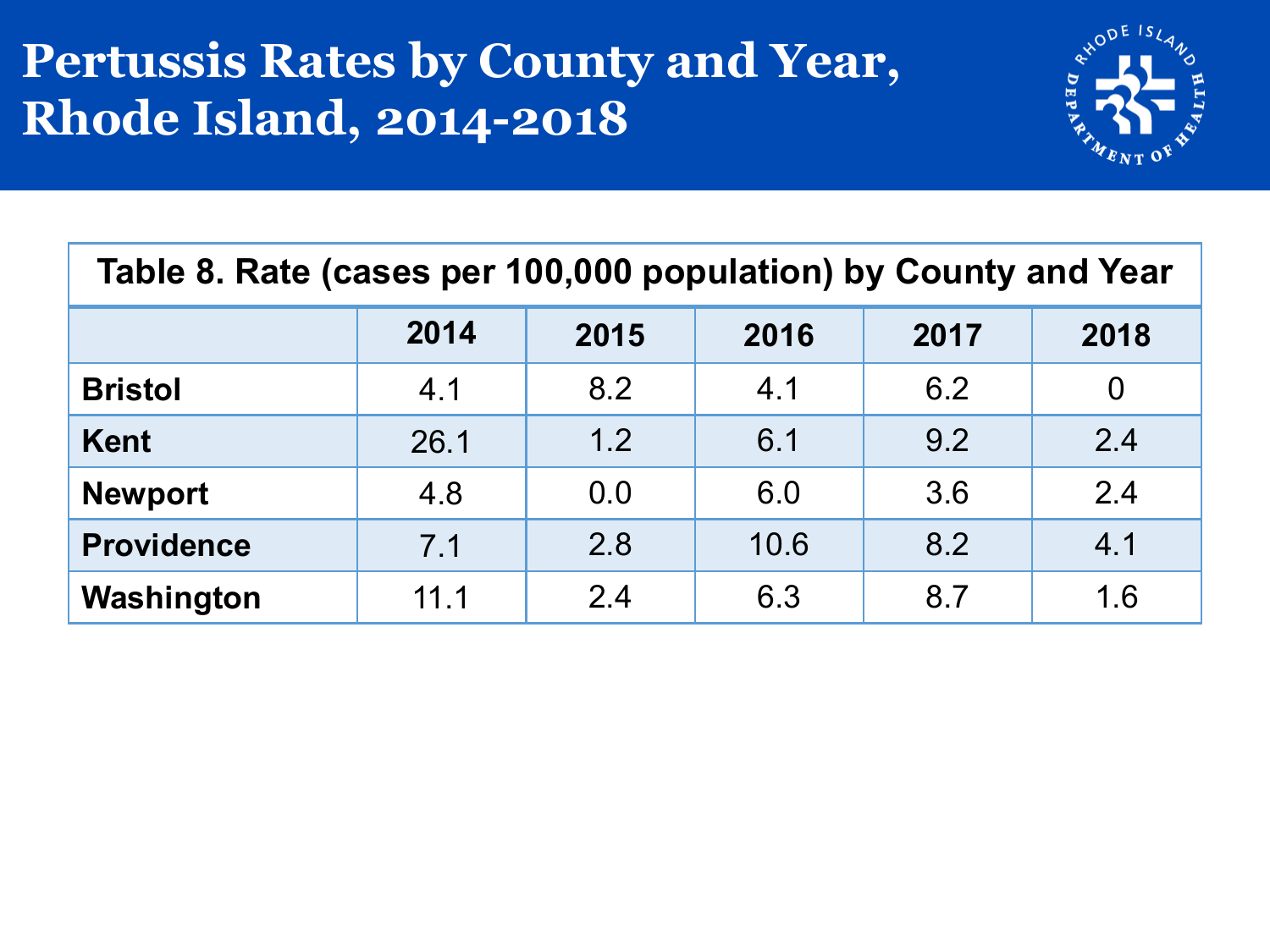#### **Pertussis Rates by County and Year, Rhode Island, 2014-2018**



| Table 8. Rate (cases per 100,000 population) by County and Year |      |      |      |      |      |  |  |
|-----------------------------------------------------------------|------|------|------|------|------|--|--|
|                                                                 | 2014 | 2015 | 2016 | 2017 | 2018 |  |  |
| <b>Bristol</b>                                                  | 4.1  | 8.2  | 4.1  | 6.2  | 0    |  |  |
| <b>Kent</b>                                                     | 26.1 | 1.2  | 6.1  | 9.2  | 2.4  |  |  |
| <b>Newport</b>                                                  | 4.8  | 0.0  | 6.0  | 3.6  | 2.4  |  |  |
| <b>Providence</b>                                               | 7.1  | 2.8  | 10.6 | 8.2  | 4.1  |  |  |
| Washington                                                      | 11.1 | 2.4  | 6.3  | 8.7  | 1.6  |  |  |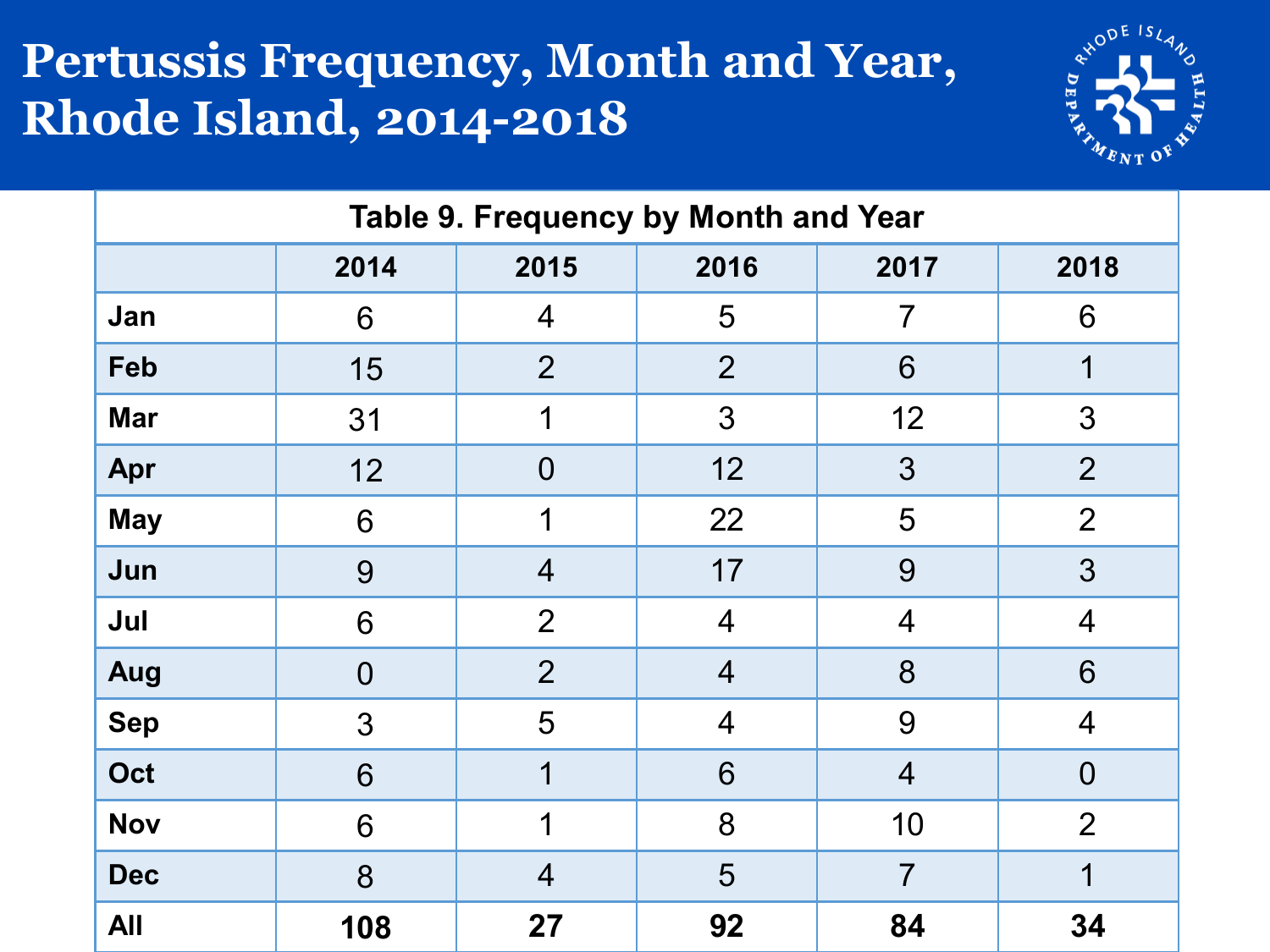#### **Pertussis Frequency, Month and Year, Rhode Island, 2014-2018**



| Table 9. Frequency by Month and Year |                                      |                |                |                |                |  |  |  |
|--------------------------------------|--------------------------------------|----------------|----------------|----------------|----------------|--|--|--|
|                                      | 2016<br>2014<br>2015<br>2017<br>2018 |                |                |                |                |  |  |  |
| Jan                                  | 6                                    | $\overline{4}$ | 5              | 7              | 6              |  |  |  |
| Feb                                  | 15                                   | $\overline{2}$ | $\overline{2}$ | 6              | 1              |  |  |  |
| <b>Mar</b>                           | 31                                   | 1              | 3              | 12             | 3              |  |  |  |
| Apr                                  | 12                                   | $\overline{0}$ | 12             | 3              | $\overline{2}$ |  |  |  |
| <b>May</b>                           | 6                                    | 1              | 22             | 5              | $\overline{2}$ |  |  |  |
| Jun                                  | 9                                    | $\overline{4}$ | 17             | 9              | 3              |  |  |  |
| Jul                                  | 6                                    | $\overline{2}$ | $\overline{4}$ | $\overline{4}$ | $\overline{4}$ |  |  |  |
| Aug                                  | $\overline{0}$                       | $\overline{2}$ | $\overline{4}$ | 8              | 6              |  |  |  |
| <b>Sep</b>                           | 3                                    | 5              | $\overline{4}$ | 9              | $\overline{4}$ |  |  |  |
| Oct                                  | 6                                    | 1              | 6              | $\overline{4}$ | $\overline{0}$ |  |  |  |
| <b>Nov</b>                           | 6                                    | 1              | 8              | 10             | $\overline{2}$ |  |  |  |
| <b>Dec</b>                           | 8                                    | $\overline{4}$ | 5              | $\overline{7}$ | 1              |  |  |  |
| <b>All</b>                           | 108                                  | 27             | 92             | 84             | 34             |  |  |  |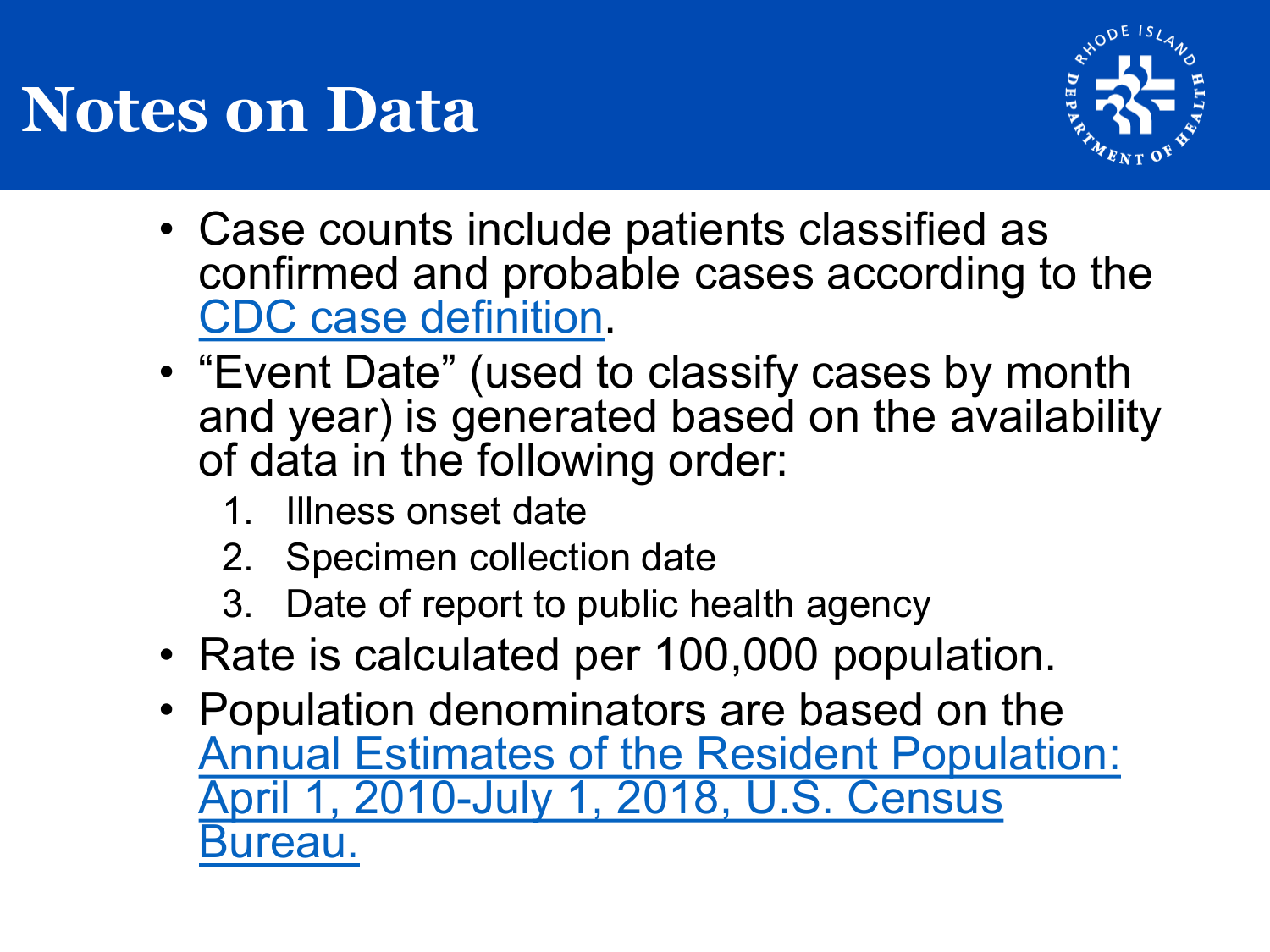

- Case counts include patients classified as confirmed and probable cases according to the [CDC case definition.](https://wwwn.cdc.gov/nndss/conditions/pertussis/case-definition/2014/)
- "Event Date" (used to classify cases by month and year) is generated based on the availability of data in the following order:
	- 1. Illness onset date
	- 2. Specimen collection date
	- 3. Date of report to public health agency
- Rate is calculated per 100,000 population.
- Population denominators are based on the [Annual Estimates of the Resident Population:](https://factfinder.census.gov/faces/nav/jsf/pages/guided_search.xhtml) April 1, 2010-July 1, 2018, U.S. Census Bureau.